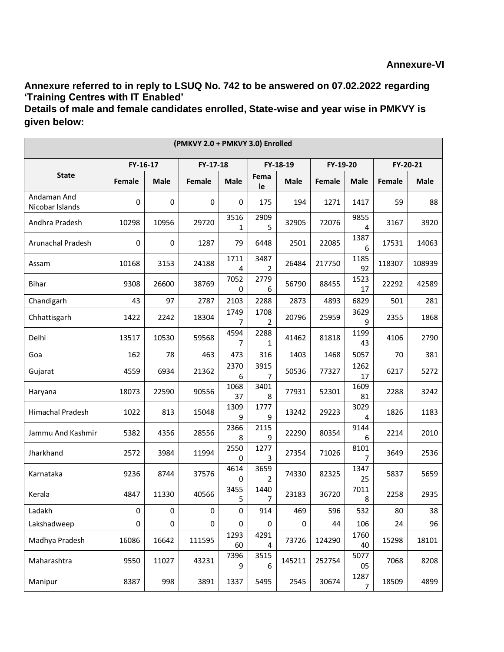**Annexure referred to in reply to LSUQ No. 742 to be answered on 07.02.2022 regarding 'Training Centres with IT Enabled'**

**Details of male and female candidates enrolled, State-wise and year wise in PMKVY is given below:**

| (PMKVY 2.0 + PMKVY 3.0) Enrolled |          |             |          |             |            |             |          |             |               |             |
|----------------------------------|----------|-------------|----------|-------------|------------|-------------|----------|-------------|---------------|-------------|
|                                  | FY-16-17 |             | FY-17-18 |             | FY-18-19   |             | FY-19-20 |             | FY-20-21      |             |
| <b>State</b>                     | Female   | <b>Male</b> | Female   | <b>Male</b> | Fema<br>le | <b>Male</b> | Female   | <b>Male</b> | <b>Female</b> | <b>Male</b> |
| Andaman And<br>Nicobar Islands   | 0        | 0           | 0        | 0           | 175        | 194         | 1271     | 1417        | 59            | 88          |
| Andhra Pradesh                   | 10298    | 10956       | 29720    | 3516<br>1   | 2909<br>5  | 32905       | 72076    | 9855<br>4   | 3167          | 3920        |
| Arunachal Pradesh                | 0        | 0           | 1287     | 79          | 6448       | 2501        | 22085    | 1387<br>6   | 17531         | 14063       |
| Assam                            | 10168    | 3153        | 24188    | 1711<br>4   | 3487<br>2  | 26484       | 217750   | 1185<br>92  | 118307        | 108939      |
| <b>Bihar</b>                     | 9308     | 26600       | 38769    | 7052<br>0   | 2779<br>6  | 56790       | 88455    | 1523<br>17  | 22292         | 42589       |
| Chandigarh                       | 43       | 97          | 2787     | 2103        | 2288       | 2873        | 4893     | 6829        | 501           | 281         |
| Chhattisgarh                     | 1422     | 2242        | 18304    | 1749<br>7   | 1708<br>2  | 20796       | 25959    | 3629<br>9   | 2355          | 1868        |
| Delhi                            | 13517    | 10530       | 59568    | 4594<br>7   | 2288<br>1  | 41462       | 81818    | 1199<br>43  | 4106          | 2790        |
| Goa                              | 162      | 78          | 463      | 473         | 316        | 1403        | 1468     | 5057        | 70            | 381         |
| Gujarat                          | 4559     | 6934        | 21362    | 2370<br>6   | 3915<br>7  | 50536       | 77327    | 1262<br>17  | 6217          | 5272        |
| Haryana                          | 18073    | 22590       | 90556    | 1068<br>37  | 3401<br>8  | 77931       | 52301    | 1609<br>81  | 2288          | 3242        |
| Himachal Pradesh                 | 1022     | 813         | 15048    | 1309<br>9   | 1777<br>9  | 13242       | 29223    | 3029<br>4   | 1826          | 1183        |
| Jammu And Kashmir                | 5382     | 4356        | 28556    | 2366<br>8   | 2115<br>9  | 22290       | 80354    | 9144<br>6   | 2214          | 2010        |
| Jharkhand                        | 2572     | 3984        | 11994    | 2550<br>0   | 1277<br>3  | 27354       | 71026    | 8101<br>7   | 3649          | 2536        |
| Karnataka                        | 9236     | 8744        | 37576    | 4614<br>0   | 3659<br>2  | 74330       | 82325    | 1347<br>25  | 5837          | 5659        |
| Kerala                           | 4847     | 11330       | 40566    | 3455<br>5   | 1440<br>7  | 23183       | 36720    | 7011<br>8   | 2258          | 2935        |
| Ladakh                           | 0        | $\pmb{0}$   | 0        | $\pmb{0}$   | 914        | 469         | 596      | 532         | 80            | 38          |
| Lakshadweep                      | 0        | 0           | 0        | 0           | 0          | 0           | 44       | 106         | 24            | 96          |
| Madhya Pradesh                   | 16086    | 16642       | 111595   | 1293<br>60  | 4291<br>4  | 73726       | 124290   | 1760<br>40  | 15298         | 18101       |
| Maharashtra                      | 9550     | 11027       | 43231    | 7396<br>9   | 3515<br>6  | 145211      | 252754   | 5077<br>05  | 7068          | 8208        |
| Manipur                          | 8387     | 998         | 3891     | 1337        | 5495       | 2545        | 30674    | 1287<br>7   | 18509         | 4899        |